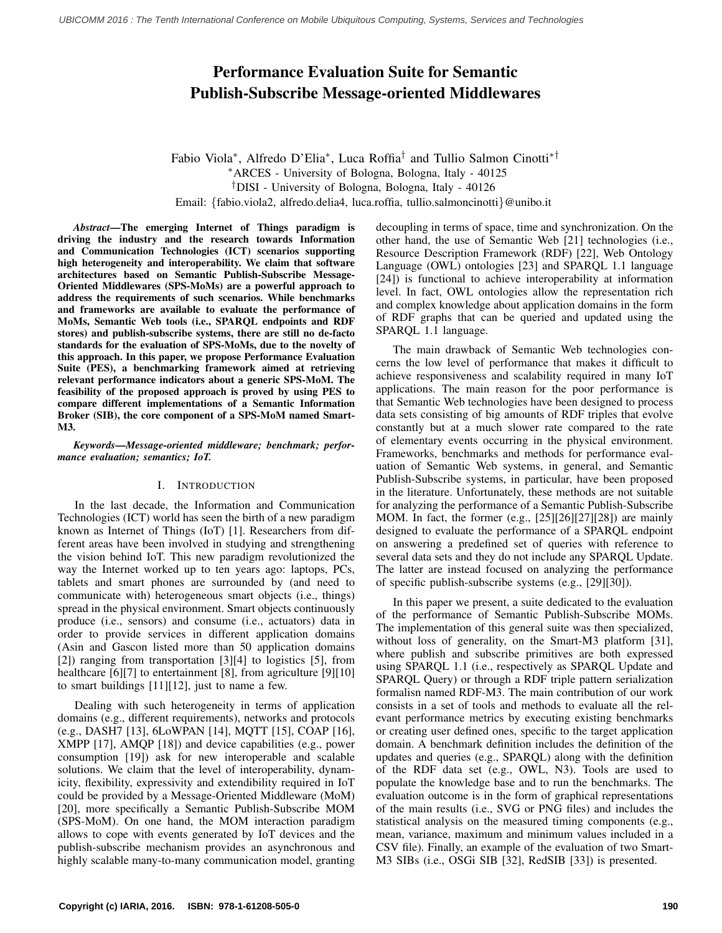# Performance Evaluation Suite for Semantic Publish-Subscribe Message-oriented Middlewares

Fabio Viola<sup>∗</sup> , Alfredo D'Elia<sup>∗</sup> , Luca Roffia† and Tullio Salmon Cinotti∗† <sup>∗</sup>ARCES - University of Bologna, Bologna, Italy - 40125 †DISI - University of Bologna, Bologna, Italy - 40126 Email: {fabio.viola2, alfredo.delia4, luca.roffia, tullio.salmoncinotti}@unibo.it

*Abstract*—The emerging Internet of Things paradigm is driving the industry and the research towards Information and Communication Technologies (ICT) scenarios supporting high heterogeneity and interoperability. We claim that software architectures based on Semantic Publish-Subscribe Message-Oriented Middlewares (SPS-MoMs) are a powerful approach to address the requirements of such scenarios. While benchmarks and frameworks are available to evaluate the performance of MoMs, Semantic Web tools (i.e., SPARQL endpoints and RDF stores) and publish-subscribe systems, there are still no de-facto standards for the evaluation of SPS-MoMs, due to the novelty of this approach. In this paper, we propose Performance Evaluation Suite (PES), a benchmarking framework aimed at retrieving relevant performance indicators about a generic SPS-MoM. The feasibility of the proposed approach is proved by using PES to compare different implementations of a Semantic Information Broker (SIB), the core component of a SPS-MoM named Smart-M3.

*Keywords*—*Message-oriented middleware; benchmark; performance evaluation; semantics; IoT.*

# I. INTRODUCTION

In the last decade, the Information and Communication Technologies (ICT) world has seen the birth of a new paradigm known as Internet of Things (IoT) [1]. Researchers from different areas have been involved in studying and strengthening the vision behind IoT. This new paradigm revolutionized the way the Internet worked up to ten years ago: laptops, PCs, tablets and smart phones are surrounded by (and need to communicate with) heterogeneous smart objects (i.e., things) spread in the physical environment. Smart objects continuously produce (i.e., sensors) and consume (i.e., actuators) data in order to provide services in different application domains (Asin and Gascon listed more than 50 application domains [2]) ranging from transportation [3][4] to logistics [5], from healthcare [6][7] to entertainment [8], from agriculture [9][10] to smart buildings [11][12], just to name a few.

Dealing with such heterogeneity in terms of application domains (e.g., different requirements), networks and protocols (e.g., DASH7 [13], 6LoWPAN [14], MQTT [15], COAP [16], XMPP [17], AMQP [18]) and device capabilities (e.g., power consumption [19]) ask for new interoperable and scalable solutions. We claim that the level of interoperability, dynamicity, flexibility, expressivity and extendibility required in IoT could be provided by a Message-Oriented Middleware (MoM) [20], more specifically a Semantic Publish-Subscribe MOM (SPS-MoM). On one hand, the MOM interaction paradigm allows to cope with events generated by IoT devices and the publish-subscribe mechanism provides an asynchronous and highly scalable many-to-many communication model, granting decoupling in terms of space, time and synchronization. On the other hand, the use of Semantic Web [21] technologies (i.e., Resource Description Framework (RDF) [22], Web Ontology Language (OWL) ontologies [23] and SPARQL 1.1 language [24]) is functional to achieve interoperability at information level. In fact, OWL ontologies allow the representation rich and complex knowledge about application domains in the form of RDF graphs that can be queried and updated using the SPARQL 1.1 language.

The main drawback of Semantic Web technologies concerns the low level of performance that makes it difficult to achieve responsiveness and scalability required in many IoT applications. The main reason for the poor performance is that Semantic Web technologies have been designed to process data sets consisting of big amounts of RDF triples that evolve constantly but at a much slower rate compared to the rate of elementary events occurring in the physical environment. Frameworks, benchmarks and methods for performance evaluation of Semantic Web systems, in general, and Semantic Publish-Subscribe systems, in particular, have been proposed in the literature. Unfortunately, these methods are not suitable for analyzing the performance of a Semantic Publish-Subscribe MOM. In fact, the former (e.g., [25][26][27][28]) are mainly designed to evaluate the performance of a SPARQL endpoint on answering a predefined set of queries with reference to several data sets and they do not include any SPARQL Update. The latter are instead focused on analyzing the performance of specific publish-subscribe systems (e.g., [29][30]).

In this paper we present, a suite dedicated to the evaluation of the performance of Semantic Publish-Subscribe MOMs. The implementation of this general suite was then specialized, without loss of generality, on the Smart-M3 platform [31], where publish and subscribe primitives are both expressed using SPARQL 1.1 (i.e., respectively as SPARQL Update and SPARQL Query) or through a RDF triple pattern serialization formalisn named RDF-M3. The main contribution of our work consists in a set of tools and methods to evaluate all the relevant performance metrics by executing existing benchmarks or creating user defined ones, specific to the target application domain. A benchmark definition includes the definition of the updates and queries (e.g., SPARQL) along with the definition of the RDF data set (e.g., OWL, N3). Tools are used to populate the knowledge base and to run the benchmarks. The evaluation outcome is in the form of graphical representations of the main results (i.e., SVG or PNG files) and includes the statistical analysis on the measured timing components (e.g., mean, variance, maximum and minimum values included in a CSV file). Finally, an example of the evaluation of two Smart-M3 SIBs (i.e., OSGi SIB [32], RedSIB [33]) is presented.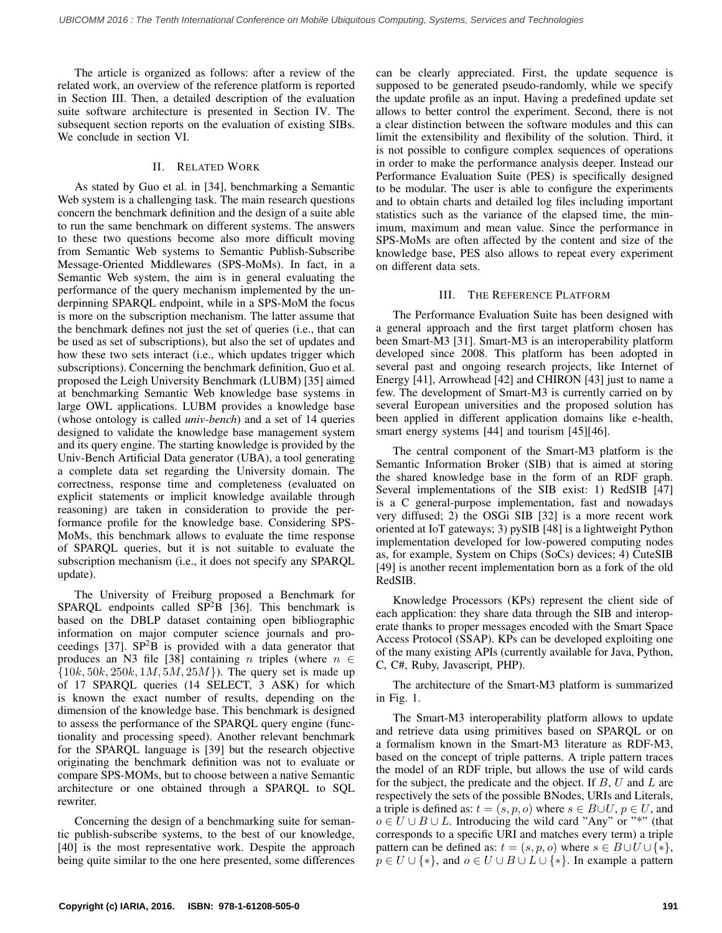The article is organized as follows: after a review of the related work, an overview of the reference platform is reported in Section III. Then, a detailed description of the evaluation suite software architecture is presented in Section IV. The subsequent section reports on the evaluation of existing SIBs. We conclude in section VI.

# II. RELATED WORK

As stated by Guo et al. in [34], benchmarking a Semantic Web system is a challenging task. The main research questions concern the benchmark definition and the design of a suite able to run the same benchmark on different systems. The answers to these two questions become also more difficult moving from Semantic Web systems to Semantic Publish-Subscribe Message-Oriented Middlewares (SPS-MoMs). In fact, in a Semantic Web system, the aim is in general evaluating the performance of the query mechanism implemented by the underpinning SPARQL endpoint, while in a SPS-MoM the focus is more on the subscription mechanism. The latter assume that the benchmark defines not just the set of queries (i.e., that can be used as set of subscriptions), but also the set of updates and how these two sets interact (i.e., which updates trigger which subscriptions). Concerning the benchmark definition, Guo et al. proposed the Leigh University Benchmark (LUBM) [35] aimed at benchmarking Semantic Web knowledge base systems in large OWL applications. LUBM provides a knowledge base (whose ontology is called *univ-bench*) and a set of 14 queries designed to validate the knowledge base management system and its query engine. The starting knowledge is provided by the Univ-Bench Artificial Data generator (UBA), a tool generating a complete data set regarding the University domain. The correctness, response time and completeness (evaluated on explicit statements or implicit knowledge available through reasoning) are taken in consideration to provide the performance profile for the knowledge base. Considering SPS-MoMs, this benchmark allows to evaluate the time response of SPARQL queries, but it is not suitable to evaluate the subscription mechanism (i.e., it does not specify any SPARQL update).

The University of Freiburg proposed a Benchmark for SPARQL endpoints called  $SP<sup>2</sup>B$  [36]. This benchmark is based on the DBLP dataset containing open bibliographic information on major computer science journals and proceedings [37].  $SP<sup>2</sup>B$  is provided with a data generator that produces an N3 file [38] containing n triples (where  $n \in$  ${10k, 50k, 250k, 1M, 5M, 25M}$ . The query set is made up of 17 SPARQL queries (14 SELECT, 3 ASK) for which is known the exact number of results, depending on the dimension of the knowledge base. This benchmark is designed to assess the performance of the SPARQL query engine (functionality and processing speed). Another relevant benchmark for the SPARQL language is [39] but the research objective originating the benchmark definition was not to evaluate or compare SPS-MOMs, but to choose between a native Semantic architecture or one obtained through a SPARQL to SQL rewriter.

Concerning the design of a benchmarking suite for semantic publish-subscribe systems, to the best of our knowledge, [40] is the most representative work. Despite the approach being quite similar to the one here presented, some differences can be clearly appreciated. First, the update sequence is supposed to be generated pseudo-randomly, while we specify the update profile as an input. Having a predefined update set allows to better control the experiment. Second, there is not a clear distinction between the software modules and this can limit the extensibility and flexibility of the solution. Third, it is not possible to configure complex sequences of operations in order to make the performance analysis deeper. Instead our Performance Evaluation Suite (PES) is specifically designed to be modular. The user is able to configure the experiments and to obtain charts and detailed log files including important statistics such as the variance of the elapsed time, the minimum, maximum and mean value. Since the performance in SPS-MoMs are often affected by the content and size of the knowledge base, PES also allows to repeat every experiment on different data sets.

## III. THE REFERENCE PLATFORM

The Performance Evaluation Suite has been designed with a general approach and the first target platform chosen has been Smart-M3 [31]. Smart-M3 is an interoperability platform developed since 2008. This platform has been adopted in several past and ongoing research projects, like Internet of Energy [41], Arrowhead [42] and CHIRON [43] just to name a few. The development of Smart-M3 is currently carried on by several European universities and the proposed solution has been applied in different application domains like e-health, smart energy systems [44] and tourism [45][46].

The central component of the Smart-M3 platform is the Semantic Information Broker (SIB) that is aimed at storing the shared knowledge base in the form of an RDF graph. Several implementations of the SIB exist: 1) RedSIB [47] is a C general-purpose implementation, fast and nowadays very diffused; 2) the OSGi SIB [32] is a more recent work oriented at IoT gateways; 3) pySIB [48] is a lightweight Python implementation developed for low-powered computing nodes as, for example, System on Chips (SoCs) devices; 4) CuteSIB [49] is another recent implementation born as a fork of the old RedSIB.

Knowledge Processors (KPs) represent the client side of each application: they share data through the SIB and interoperate thanks to proper messages encoded with the Smart Space Access Protocol (SSAP). KPs can be developed exploiting one of the many existing APIs (currently available for Java, Python, C, C#, Ruby, Javascript, PHP).

The architecture of the Smart-M3 platform is summarized in Fig. 1.

The Smart-M3 interoperability platform allows to update and retrieve data using primitives based on SPARQL or on a formalism known in the Smart-M3 literature as RDF-M3, based on the concept of triple patterns. A triple pattern traces the model of an RDF triple, but allows the use of wild cards for the subject, the predicate and the object. If  $B, U$  and  $L$  are respectively the sets of the possible BNodes, URIs and Literals, a triple is defined as:  $t = (s, p, o)$  where  $s \in B \cup U$ ,  $p \in U$ , and  $o \in U \cup B \cup L$ . Introducing the wild card "Any" or "\*" (that corresponds to a specific URI and matches every term) a triple pattern can be defined as:  $t = (s, p, o)$  where  $s \in B \cup U \cup \{*\},$  $p \in U \cup \{*\}$ , and  $o \in U \cup B \cup L \cup \{*\}$ . In example a pattern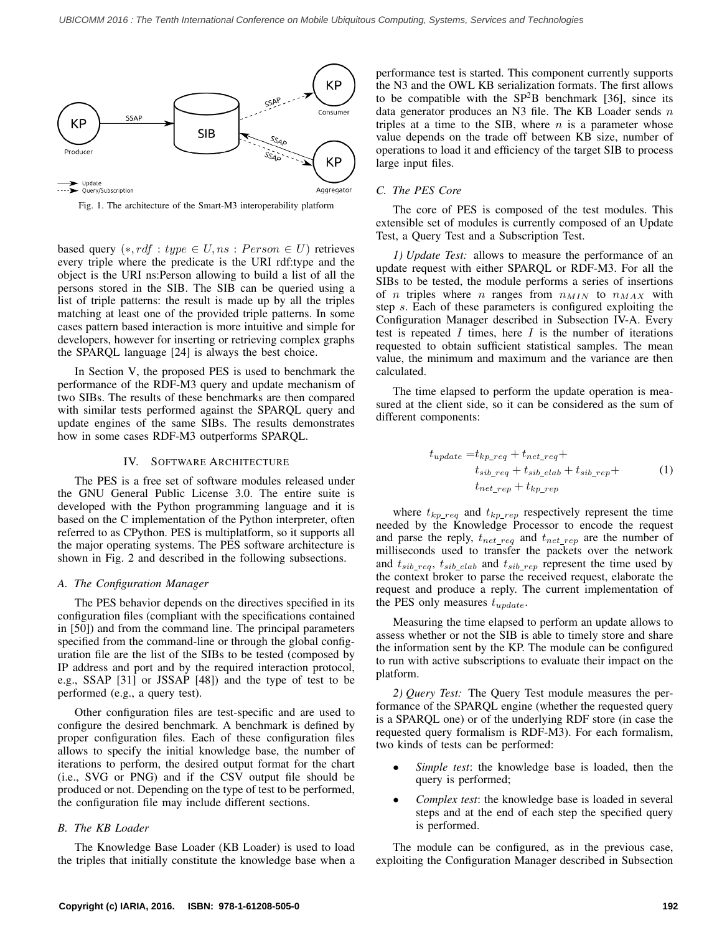

Fig. 1. The architecture of the Smart-M3 interoperability platform

based query  $(*, rdf : type \in U, ns : Person \in U)$  retrieves every triple where the predicate is the URI rdf:type and the object is the URI ns:Person allowing to build a list of all the persons stored in the SIB. The SIB can be queried using a list of triple patterns: the result is made up by all the triples matching at least one of the provided triple patterns. In some cases pattern based interaction is more intuitive and simple for developers, however for inserting or retrieving complex graphs the SPARQL language [24] is always the best choice.

In Section V, the proposed PES is used to benchmark the performance of the RDF-M3 query and update mechanism of two SIBs. The results of these benchmarks are then compared with similar tests performed against the SPARQL query and update engines of the same SIBs. The results demonstrates how in some cases RDF-M3 outperforms SPARQL.

#### IV. SOFTWARE ARCHITECTURE

The PES is a free set of software modules released under the GNU General Public License 3.0. The entire suite is developed with the Python programming language and it is based on the C implementation of the Python interpreter, often referred to as CPython. PES is multiplatform, so it supports all the major operating systems. The PES software architecture is shown in Fig. 2 and described in the following subsections.

#### *A. The Configuration Manager*

The PES behavior depends on the directives specified in its configuration files (compliant with the specifications contained in [50]) and from the command line. The principal parameters specified from the command-line or through the global configuration file are the list of the SIBs to be tested (composed by IP address and port and by the required interaction protocol, e.g., SSAP [31] or JSSAP [48]) and the type of test to be performed (e.g., a query test).

Other configuration files are test-specific and are used to configure the desired benchmark. A benchmark is defined by proper configuration files. Each of these configuration files allows to specify the initial knowledge base, the number of iterations to perform, the desired output format for the chart (i.e., SVG or PNG) and if the CSV output file should be produced or not. Depending on the type of test to be performed, the configuration file may include different sections.

## *B. The KB Loader*

The Knowledge Base Loader (KB Loader) is used to load the triples that initially constitute the knowledge base when a performance test is started. This component currently supports the N3 and the OWL KB serialization formats. The first allows to be compatible with the  $SP<sup>2</sup>B$  benchmark [36], since its data generator produces an N3 file. The KB Loader sends  $n$ triples at a time to the SIB, where  $n$  is a parameter whose value depends on the trade off between KB size, number of operations to load it and efficiency of the target SIB to process large input files.

### *C. The PES Core*

The core of PES is composed of the test modules. This extensible set of modules is currently composed of an Update Test, a Query Test and a Subscription Test.

*1) Update Test:* allows to measure the performance of an update request with either SPARQL or RDF-M3. For all the SIBs to be tested, the module performs a series of insertions of *n* triples where *n* ranges from  $n_{MIN}$  to  $n_{MAX}$  with step s. Each of these parameters is configured exploiting the Configuration Manager described in Subsection IV-A. Every test is repeated  $I$  times, here  $I$  is the number of iterations requested to obtain sufficient statistical samples. The mean value, the minimum and maximum and the variance are then calculated.

The time elapsed to perform the update operation is measured at the client side, so it can be considered as the sum of different components:

$$
t_{update} = t_{kp\_req} + t_{net\_req} + t_{sib\_rep} + t_{sib\_rep} + t_{sib\_rep} + t_{sib\_rep} + t_{kip\_rep}
$$
\n
$$
(1)
$$

where  $t_{kp\_req}$  and  $t_{kp\_rep}$  respectively represent the time needed by the Knowledge Processor to encode the request and parse the reply,  $t_{net\_req}$  and  $t_{net\_rep}$  are the number of milliseconds used to transfer the packets over the network and  $t_{sib\_req}$ ,  $t_{sib\_elab}$  and  $t_{sib\_rep}$  represent the time used by the context broker to parse the received request, elaborate the request and produce a reply. The current implementation of the PES only measures  $t_{update}$ .

Measuring the time elapsed to perform an update allows to assess whether or not the SIB is able to timely store and share the information sent by the KP. The module can be configured to run with active subscriptions to evaluate their impact on the platform.

*2) Query Test:* The Query Test module measures the performance of the SPARQL engine (whether the requested query is a SPARQL one) or of the underlying RDF store (in case the requested query formalism is RDF-M3). For each formalism, two kinds of tests can be performed:

- *Simple test*: the knowledge base is loaded, then the query is performed;
- *Complex test*: the knowledge base is loaded in several steps and at the end of each step the specified query is performed.

The module can be configured, as in the previous case, exploiting the Configuration Manager described in Subsection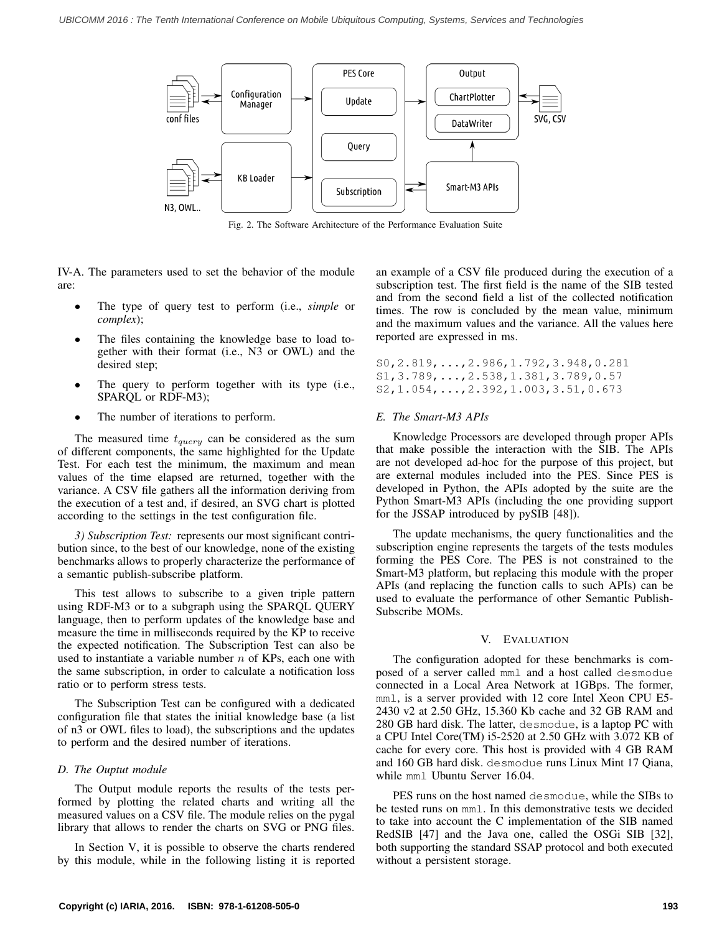

Fig. 2. The Software Architecture of the Performance Evaluation Suite

IV-A. The parameters used to set the behavior of the module are:

- The type of query test to perform (i.e., *simple* or *complex*);
- The files containing the knowledge base to load together with their format (i.e., N3 or OWL) and the desired step;
- The query to perform together with its type (i.e., SPARQL or RDF-M3);
- The number of iterations to perform.

The measured time  $t_{query}$  can be considered as the sum of different components, the same highlighted for the Update Test. For each test the minimum, the maximum and mean values of the time elapsed are returned, together with the variance. A CSV file gathers all the information deriving from the execution of a test and, if desired, an SVG chart is plotted according to the settings in the test configuration file.

*3) Subscription Test:* represents our most significant contribution since, to the best of our knowledge, none of the existing benchmarks allows to properly characterize the performance of a semantic publish-subscribe platform.

This test allows to subscribe to a given triple pattern using RDF-M3 or to a subgraph using the SPARQL QUERY language, then to perform updates of the knowledge base and measure the time in milliseconds required by the KP to receive the expected notification. The Subscription Test can also be used to instantiate a variable number  $n$  of KPs, each one with the same subscription, in order to calculate a notification loss ratio or to perform stress tests.

The Subscription Test can be configured with a dedicated configuration file that states the initial knowledge base (a list of n3 or OWL files to load), the subscriptions and the updates to perform and the desired number of iterations.

# *D. The Ouptut module*

The Output module reports the results of the tests performed by plotting the related charts and writing all the measured values on a CSV file. The module relies on the pygal library that allows to render the charts on SVG or PNG files.

In Section V, it is possible to observe the charts rendered by this module, while in the following listing it is reported an example of a CSV file produced during the execution of a subscription test. The first field is the name of the SIB tested and from the second field a list of the collected notification times. The row is concluded by the mean value, minimum and the maximum values and the variance. All the values here reported are expressed in ms.

```
S0,2.819,...,2.986,1.792,3.948,0.281
S1,3.789,...,2.538,1.381,3.789,0.57
S2,1.054,...,2.392,1.003,3.51,0.673
```
# *E. The Smart-M3 APIs*

Knowledge Processors are developed through proper APIs that make possible the interaction with the SIB. The APIs are not developed ad-hoc for the purpose of this project, but are external modules included into the PES. Since PES is developed in Python, the APIs adopted by the suite are the Python Smart-M3 APIs (including the one providing support for the JSSAP introduced by pySIB [48]).

The update mechanisms, the query functionalities and the subscription engine represents the targets of the tests modules forming the PES Core. The PES is not constrained to the Smart-M3 platform, but replacing this module with the proper APIs (and replacing the function calls to such APIs) can be used to evaluate the performance of other Semantic Publish-Subscribe MOMs.

# V. EVALUATION

The configuration adopted for these benchmarks is composed of a server called mml and a host called desmodue connected in a Local Area Network at 1GBps. The former, mml, is a server provided with 12 core Intel Xeon CPU E5- 2430 v2 at 2.50 GHz, 15.360 Kb cache and 32 GB RAM and 280 GB hard disk. The latter, desmodue, is a laptop PC with a CPU Intel Core(TM) i5-2520 at 2.50 GHz with 3.072 KB of cache for every core. This host is provided with 4 GB RAM and 160 GB hard disk. desmodue runs Linux Mint 17 Qiana, while mml Ubuntu Server 16.04.

PES runs on the host named desmodue, while the SIBs to be tested runs on mml. In this demonstrative tests we decided to take into account the C implementation of the SIB named RedSIB [47] and the Java one, called the OSGi SIB [32], both supporting the standard SSAP protocol and both executed without a persistent storage.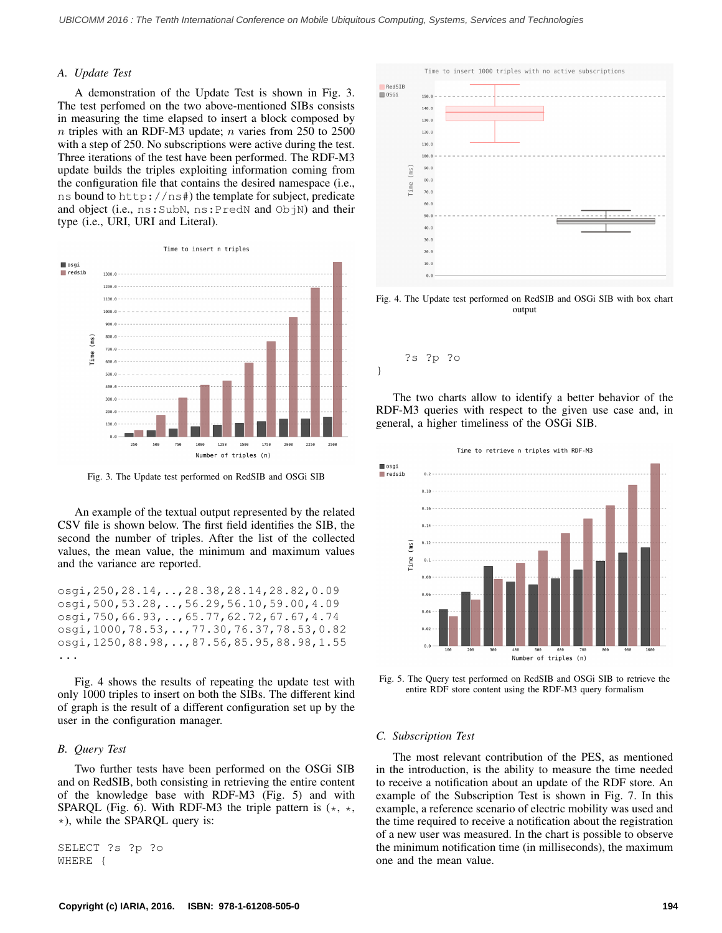### *A. Update Test*

A demonstration of the Update Test is shown in Fig. 3. The test perfomed on the two above-mentioned SIBs consists in measuring the time elapsed to insert a block composed by  $n$  triples with an RDF-M3 update;  $n$  varies from 250 to 2500 with a step of 250. No subscriptions were active during the test. Three iterations of the test have been performed. The RDF-M3 update builds the triples exploiting information coming from the configuration file that contains the desired namespace (i.e., ns bound to http://ns#) the template for subject, predicate and object (i.e., ns: SubN, ns: PredN and ObjN) and their type (i.e., URI, URI and Literal).



Fig. 3. The Update test performed on RedSIB and OSGi SIB

An example of the textual output represented by the related CSV file is shown below. The first field identifies the SIB, the second the number of triples. After the list of the collected values, the mean value, the minimum and maximum values and the variance are reported.

osgi,250,28.14,..,28.38,28.14,28.82,0.09 osgi,500,53.28,..,56.29,56.10,59.00,4.09 osgi,750,66.93,..,65.77,62.72,67.67,4.74 osgi,1000,78.53,..,77.30,76.37,78.53,0.82 osgi,1250,88.98,..,87.56,85.95,88.98,1.55 ...

Fig. 4 shows the results of repeating the update test with only 1000 triples to insert on both the SIBs. The different kind of graph is the result of a different configuration set up by the user in the configuration manager.

#### *B. Query Test*

Two further tests have been performed on the OSGi SIB and on RedSIB, both consisting in retrieving the entire content of the knowledge base with RDF-M3 (Fig. 5) and with SPARQL (Fig. 6). With RDF-M3 the triple pattern is  $(*, *,$  $\star$ ), while the SPARQL query is:

SELECT ?s ?p ?o WHERE {



Fig. 4. The Update test performed on RedSIB and OSGi SIB with box chart output



The two charts allow to identify a better behavior of the RDF-M3 queries with respect to the given use case and, in general, a higher timeliness of the OSGi SIB.



Fig. 5. The Query test performed on RedSIB and OSGi SIB to retrieve the entire RDF store content using the RDF-M3 query formalism

## *C. Subscription Test*

The most relevant contribution of the PES, as mentioned in the introduction, is the ability to measure the time needed to receive a notification about an update of the RDF store. An example of the Subscription Test is shown in Fig. 7. In this example, a reference scenario of electric mobility was used and the time required to receive a notification about the registration of a new user was measured. In the chart is possible to observe the minimum notification time (in milliseconds), the maximum one and the mean value.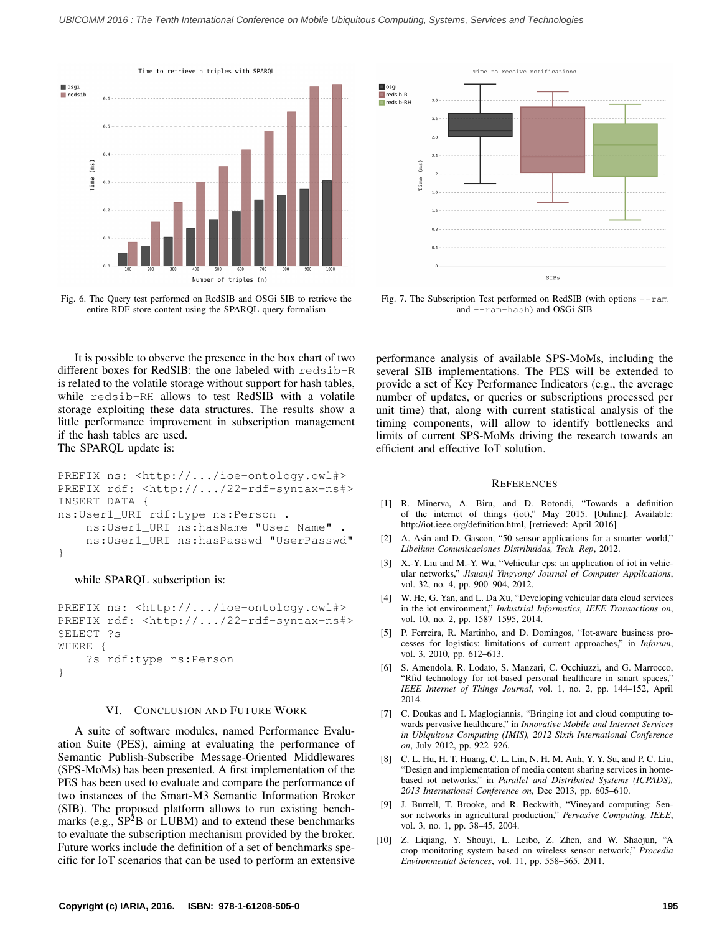

Fig. 6. The Query test performed on RedSIB and OSGi SIB to retrieve the entire RDF store content using the SPARQL query formalism

It is possible to observe the presence in the box chart of two different boxes for RedSIB: the one labeled with redsib-R is related to the volatile storage without support for hash tables, while redsib-RH allows to test RedSIB with a volatile storage exploiting these data structures. The results show a little performance improvement in subscription management if the hash tables are used. The SPARQL update is:

```
PREFIX ns: <http://.../ioe-ontology.owl#>
PREFIX rdf: <http://.../22-rdf-syntax-ns#>
INSERT DATA {
ns:User1_URI rdf:type ns:Person .
    ns:User1_URI ns:hasName "User Name" .
    ns:User1_URI ns:hasPasswd "UserPasswd"
}
```
#### while SPARQL subscription is:

```
PREFIX ns: <http://.../ioe-ontology.owl#>
PREFIX rdf: <http://.../22-rdf-syntax-ns#>
SELECT ?s
WHERE {
    ?s rdf:type ns:Person
}
```
# VI. CONCLUSION AND FUTURE WORK

A suite of software modules, named Performance Evaluation Suite (PES), aiming at evaluating the performance of Semantic Publish-Subscribe Message-Oriented Middlewares (SPS-MoMs) has been presented. A first implementation of the PES has been used to evaluate and compare the performance of two instances of the Smart-M3 Semantic Information Broker (SIB). The proposed platform allows to run existing benchmarks (e.g.,  $SP<sup>2</sup>B$  or LUBM) and to extend these benchmarks to evaluate the subscription mechanism provided by the broker. Future works include the definition of a set of benchmarks specific for IoT scenarios that can be used to perform an extensive



Fig. 7. The Subscription Test performed on RedSIB (with options  $--$ ram and --ram-hash) and OSGi SIB

performance analysis of available SPS-MoMs, including the several SIB implementations. The PES will be extended to provide a set of Key Performance Indicators (e.g., the average number of updates, or queries or subscriptions processed per unit time) that, along with current statistical analysis of the timing components, will allow to identify bottlenecks and limits of current SPS-MoMs driving the research towards an efficient and effective IoT solution.

#### **REFERENCES**

- [1] R. Minerva, A. Biru, and D. Rotondi, "Towards a definition of the internet of things (iot)," May 2015. [Online]. Available: http://iot.ieee.org/definition.html, [retrieved: April 2016]
- [2] A. Asin and D. Gascon, "50 sensor applications for a smarter world," *Libelium Comunicaciones Distribuidas, Tech. Rep*, 2012.
- [3] X.-Y. Liu and M.-Y. Wu, "Vehicular cps: an application of iot in vehicular networks," *Jisuanji Yingyong/ Journal of Computer Applications*, vol. 32, no. 4, pp. 900–904, 2012.
- [4] W. He, G. Yan, and L. Da Xu, "Developing vehicular data cloud services in the iot environment," *Industrial Informatics, IEEE Transactions on*, vol. 10, no. 2, pp. 1587–1595, 2014.
- [5] P. Ferreira, R. Martinho, and D. Domingos, "Iot-aware business processes for logistics: limitations of current approaches," in *Inforum*, vol. 3, 2010, pp. 612–613.
- [6] S. Amendola, R. Lodato, S. Manzari, C. Occhiuzzi, and G. Marrocco, "Rfid technology for iot-based personal healthcare in smart spaces," *IEEE Internet of Things Journal*, vol. 1, no. 2, pp. 144–152, April 2014.
- [7] C. Doukas and I. Maglogiannis, "Bringing iot and cloud computing towards pervasive healthcare," in *Innovative Mobile and Internet Services in Ubiquitous Computing (IMIS), 2012 Sixth International Conference on*, July 2012, pp. 922–926.
- [8] C. L. Hu, H. T. Huang, C. L. Lin, N. H. M. Anh, Y. Y. Su, and P. C. Liu, "Design and implementation of media content sharing services in homebased iot networks," in *Parallel and Distributed Systems (ICPADS), 2013 International Conference on*, Dec 2013, pp. 605–610.
- [9] J. Burrell, T. Brooke, and R. Beckwith, "Vineyard computing: Sensor networks in agricultural production," *Pervasive Computing, IEEE*, vol. 3, no. 1, pp. 38–45, 2004.
- [10] Z. Liqiang, Y. Shouyi, L. Leibo, Z. Zhen, and W. Shaojun, "A crop monitoring system based on wireless sensor network," *Procedia Environmental Sciences*, vol. 11, pp. 558–565, 2011.